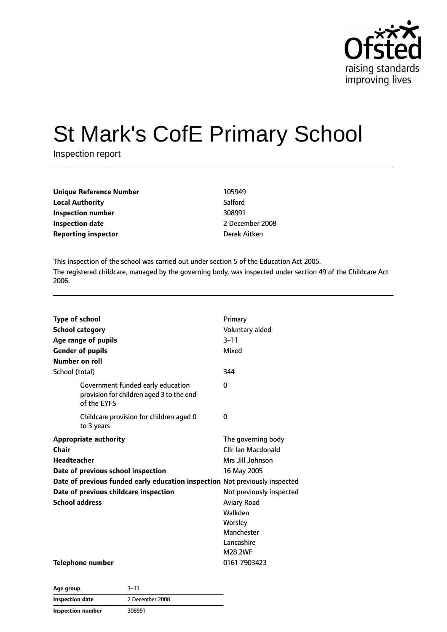

# St Mark's CofE Primary School

Inspection report

| <b>Unique Reference Number</b> | 105949       |
|--------------------------------|--------------|
| <b>Local Authority</b>         | Salford      |
| Inspection number              | 308991       |
| Inspection date                | 2 December 2 |
| <b>Reporting inspector</b>     | Derek Aitken |

**Inspection date** 2 December 2008

This inspection of the school was carried out under section 5 of the Education Act 2005. The registered childcare, managed by the governing body, was inspected under section 49 of the Childcare Act 2006.

| <b>Type of school</b>                                                                        | Primary                  |
|----------------------------------------------------------------------------------------------|--------------------------|
| <b>School category</b>                                                                       | Voluntary aided          |
| Age range of pupils                                                                          | $3 - 11$                 |
| <b>Gender of pupils</b>                                                                      | Mixed                    |
| Number on roll                                                                               |                          |
| School (total)                                                                               | 344                      |
| Government funded early education<br>provision for children aged 3 to the end<br>of the EYFS | 0                        |
| Childcare provision for children aged 0<br>to 3 years                                        | 0                        |
| <b>Appropriate authority</b>                                                                 | The governing body       |
| Chair                                                                                        | Cllr Ian Macdonald       |
| <b>Headteacher</b>                                                                           | Mrs Jill Johnson         |
| Date of previous school inspection                                                           | 16 May 2005              |
| Date of previous funded early education inspection Not previously inspected                  |                          |
| Date of previous childcare inspection                                                        | Not previously inspected |
| <b>School address</b>                                                                        | <b>Aviary Road</b>       |
|                                                                                              | Walkden                  |
|                                                                                              | Worsley                  |
|                                                                                              | Manchester               |
|                                                                                              | Lancashire               |
|                                                                                              | <b>M28 2WF</b>           |
| Telephone number                                                                             | 0161 7903423             |

| Age group                | $3 - 11$        |
|--------------------------|-----------------|
| <b>Inspection date</b>   | 2 December 2008 |
| <b>Inspection number</b> | 308991          |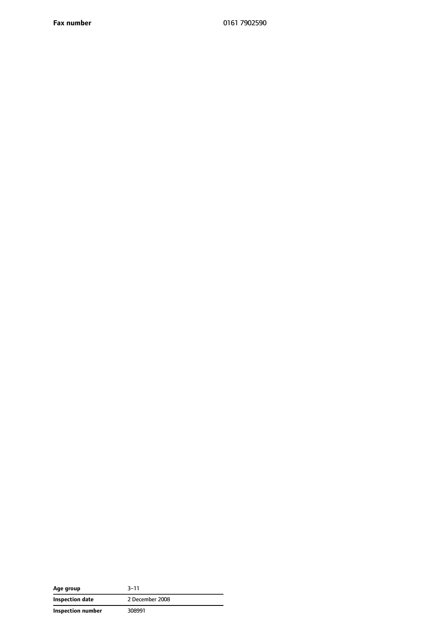**Fax number** 0161 7902590

| Age group         | $3 - 11$        |
|-------------------|-----------------|
| Inspection date   | 2 December 2008 |
| Inspection number | 308991          |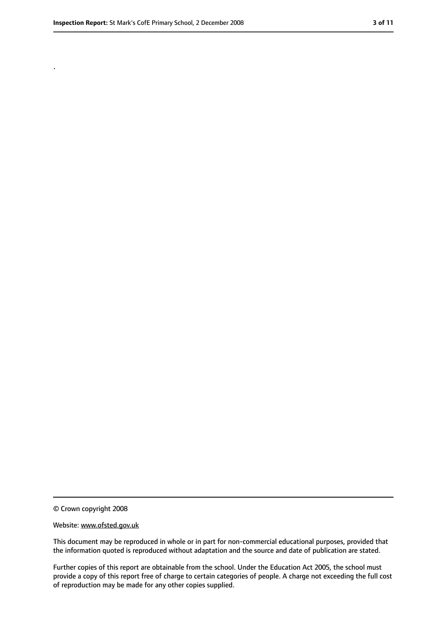.

<sup>©</sup> Crown copyright 2008

Website: www.ofsted.gov.uk

This document may be reproduced in whole or in part for non-commercial educational purposes, provided that the information quoted is reproduced without adaptation and the source and date of publication are stated.

Further copies of this report are obtainable from the school. Under the Education Act 2005, the school must provide a copy of this report free of charge to certain categories of people. A charge not exceeding the full cost of reproduction may be made for any other copies supplied.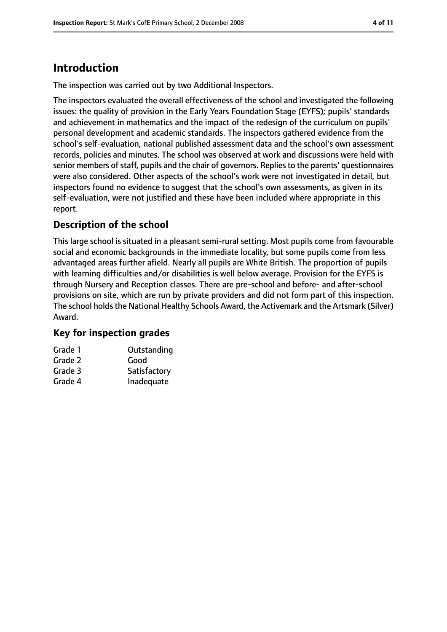## **Introduction**

The inspection was carried out by two Additional Inspectors.

The inspectors evaluated the overall effectiveness of the school and investigated the following issues: the quality of provision in the Early Years Foundation Stage (EYFS); pupils' standards and achievement in mathematics and the impact of the redesign of the curriculum on pupils' personal development and academic standards. The inspectors gathered evidence from the school's self-evaluation, national published assessment data and the school's own assessment records, policies and minutes. The school was observed at work and discussions were held with senior members of staff, pupils and the chair of governors. Replies to the parents' questionnaires were also considered. Other aspects of the school's work were not investigated in detail, but inspectors found no evidence to suggest that the school's own assessments, as given in its self-evaluation, were not justified and these have been included where appropriate in this report.

#### **Description of the school**

This large school is situated in a pleasant semi-rural setting. Most pupils come from favourable social and economic backgrounds in the immediate locality, but some pupils come from less advantaged areas further afield. Nearly all pupils are White British. The proportion of pupils with learning difficulties and/or disabilities is well below average. Provision for the EYFS is through Nursery and Reception classes. There are pre-school and before- and after-school provisions on site, which are run by private providers and did not form part of this inspection. The school holds the National Healthy Schools Award, the Activemark and the Artsmark (Silver) Award.

#### **Key for inspection grades**

| Grade 1 | Outstanding  |
|---------|--------------|
| Grade 2 | Good         |
| Grade 3 | Satisfactory |
| Grade 4 | Inadequate   |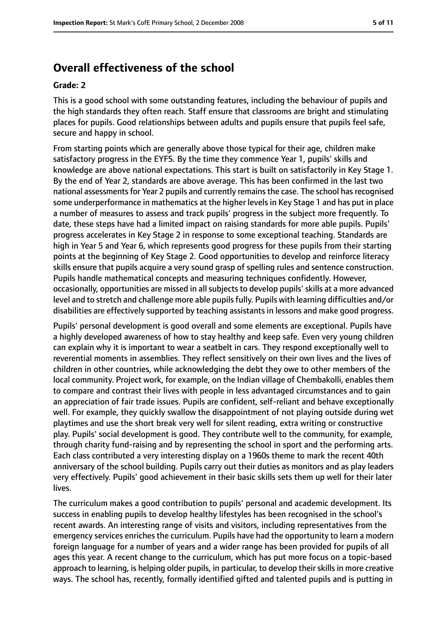## **Overall effectiveness of the school**

#### **Grade: 2**

This is a good school with some outstanding features, including the behaviour of pupils and the high standards they often reach. Staff ensure that classrooms are bright and stimulating places for pupils. Good relationships between adults and pupils ensure that pupils feel safe, secure and happy in school.

From starting points which are generally above those typical for their age, children make satisfactory progress in the EYFS. By the time they commence Year 1, pupils' skills and knowledge are above national expectations. This start is built on satisfactorily in Key Stage 1. By the end of Year 2, standards are above average. This has been confirmed in the last two national assessments for Year 2 pupils and currently remains the case. The school has recognised some underperformance in mathematics at the higher levels in Key Stage 1 and has put in place a number of measures to assess and track pupils' progress in the subject more frequently. To date, these steps have had a limited impact on raising standards for more able pupils. Pupils' progress accelerates in Key Stage 2 in response to some exceptional teaching. Standards are high in Year 5 and Year 6, which represents good progress for these pupils from their starting points at the beginning of Key Stage 2. Good opportunities to develop and reinforce literacy skills ensure that pupils acquire a very sound grasp of spelling rules and sentence construction. Pupils handle mathematical concepts and measuring techniques confidently. However, occasionally, opportunities are missed in all subjects to develop pupils' skills at a more advanced level and to stretch and challenge more able pupils fully. Pupils with learning difficulties and/or disabilities are effectively supported by teaching assistants in lessons and make good progress.

Pupils' personal development is good overall and some elements are exceptional. Pupils have a highly developed awareness of how to stay healthy and keep safe. Even very young children can explain why it is important to wear a seatbelt in cars. They respond exceptionally well to reverential moments in assemblies. They reflect sensitively on their own lives and the lives of children in other countries, while acknowledging the debt they owe to other members of the local community. Project work, for example, on the Indian village of Chembakolli, enables them to compare and contrast their lives with people in less advantaged circumstances and to gain an appreciation of fair trade issues. Pupils are confident, self-reliant and behave exceptionally well. For example, they quickly swallow the disappointment of not playing outside during wet playtimes and use the short break very well for silent reading, extra writing or constructive play. Pupils' social development is good. They contribute well to the community, for example, through charity fund-raising and by representing the school in sport and the performing arts. Each class contributed a very interesting display on a 1960s theme to mark the recent 40th anniversary of the school building. Pupils carry out their duties as monitors and as play leaders very effectively. Pupils' good achievement in their basic skills sets them up well for their later lives.

The curriculum makes a good contribution to pupils' personal and academic development. Its success in enabling pupils to develop healthy lifestyles has been recognised in the school's recent awards. An interesting range of visits and visitors, including representatives from the emergency services enriches the curriculum. Pupils have had the opportunity to learn a modern foreign language for a number of years and a wider range has been provided for pupils of all ages this year. A recent change to the curriculum, which has put more focus on a topic-based approach to learning, is helping older pupils, in particular, to develop their skills in more creative ways. The school has, recently, formally identified gifted and talented pupils and is putting in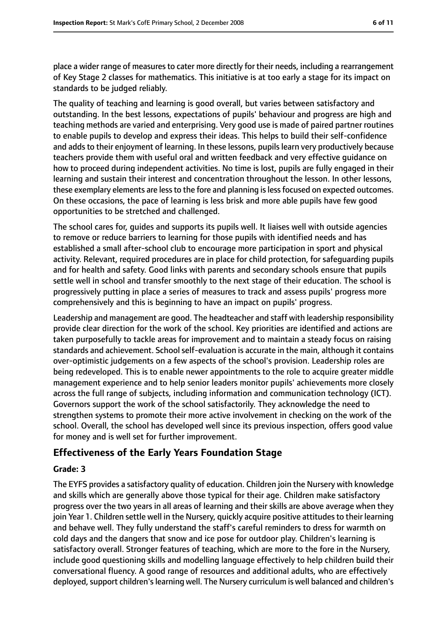place a wider range of measures to cater more directly for their needs, including a rearrangement of Key Stage 2 classes for mathematics. This initiative is at too early a stage for its impact on standards to be judged reliably.

The quality of teaching and learning is good overall, but varies between satisfactory and outstanding. In the best lessons, expectations of pupils' behaviour and progress are high and teaching methods are varied and enterprising. Very good use is made of paired partner routines to enable pupils to develop and express their ideas. This helps to build their self-confidence and adds to their enjoyment of learning. In these lessons, pupils learn very productively because teachers provide them with useful oral and written feedback and very effective guidance on how to proceed during independent activities. No time is lost, pupils are fully engaged in their learning and sustain their interest and concentration throughout the lesson. In other lessons, these exemplary elements are less to the fore and planning is less focused on expected outcomes. On these occasions, the pace of learning is less brisk and more able pupils have few good opportunities to be stretched and challenged.

The school cares for, guides and supports its pupils well. It liaises well with outside agencies to remove or reduce barriers to learning for those pupils with identified needs and has established a small after-school club to encourage more participation in sport and physical activity. Relevant, required procedures are in place for child protection, for safeguarding pupils and for health and safety. Good links with parents and secondary schools ensure that pupils settle well in school and transfer smoothly to the next stage of their education. The school is progressively putting in place a series of measures to track and assess pupils' progress more comprehensively and this is beginning to have an impact on pupils' progress.

Leadership and management are good. The headteacher and staff with leadership responsibility provide clear direction for the work of the school. Key priorities are identified and actions are taken purposefully to tackle areas for improvement and to maintain a steady focus on raising standards and achievement. School self-evaluation is accurate in the main, although it contains over-optimistic judgements on a few aspects of the school's provision. Leadership roles are being redeveloped. This is to enable newer appointments to the role to acquire greater middle management experience and to help senior leaders monitor pupils' achievements more closely across the full range of subjects, including information and communication technology (ICT). Governors support the work of the school satisfactorily. They acknowledge the need to strengthen systems to promote their more active involvement in checking on the work of the school. Overall, the school has developed well since its previous inspection, offers good value for money and is well set for further improvement.

#### **Effectiveness of the Early Years Foundation Stage**

#### **Grade: 3**

The EYFS provides a satisfactory quality of education. Children join the Nursery with knowledge and skills which are generally above those typical for their age. Children make satisfactory progress over the two years in all areas of learning and their skills are above average when they join Year 1. Children settle well in the Nursery, quickly acquire positive attitudes to their learning and behave well. They fully understand the staff's careful reminders to dress for warmth on cold days and the dangers that snow and ice pose for outdoor play. Children's learning is satisfactory overall. Stronger features of teaching, which are more to the fore in the Nursery, include good questioning skills and modelling language effectively to help children build their conversational fluency. A good range of resources and additional adults, who are effectively deployed, support children's learning well. The Nursery curriculum is well balanced and children's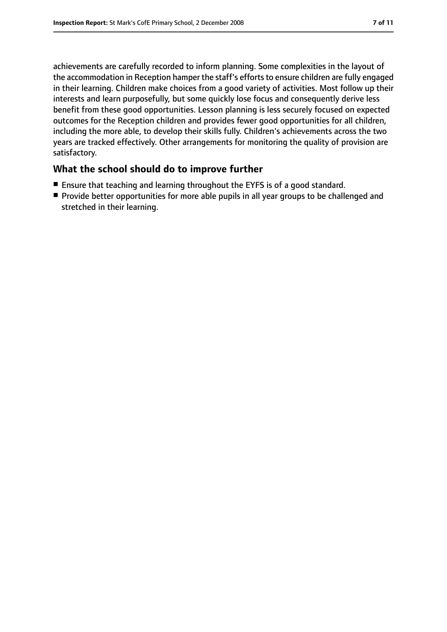achievements are carefully recorded to inform planning. Some complexities in the layout of the accommodation in Reception hamper the staff's efforts to ensure children are fully engaged in their learning. Children make choices from a good variety of activities. Most follow up their interests and learn purposefully, but some quickly lose focus and consequently derive less benefit from these good opportunities. Lesson planning is less securely focused on expected outcomes for the Reception children and provides fewer good opportunities for all children, including the more able, to develop their skills fully. Children's achievements across the two years are tracked effectively. Other arrangements for monitoring the quality of provision are satisfactory.

#### **What the school should do to improve further**

- Ensure that teaching and learning throughout the EYFS is of a good standard.
- Provide better opportunities for more able pupils in all year groups to be challenged and stretched in their learning.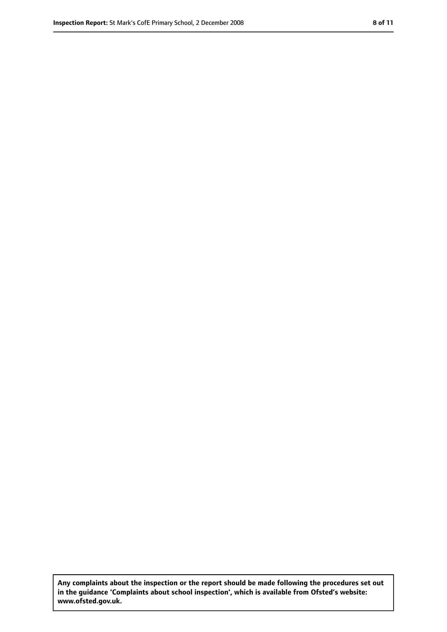**Any complaints about the inspection or the report should be made following the procedures set out in the guidance 'Complaints about school inspection', which is available from Ofsted's website: www.ofsted.gov.uk.**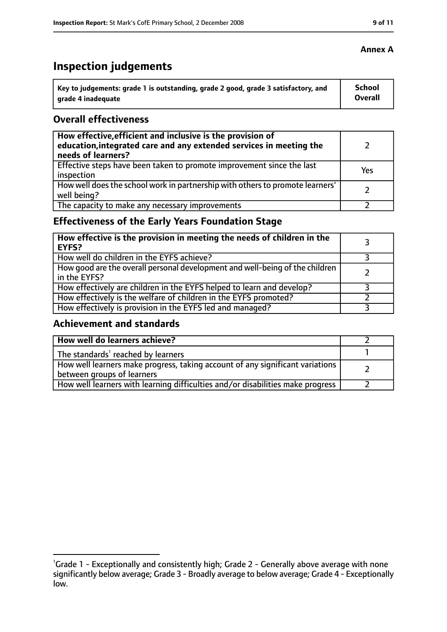# **Inspection judgements**

| Key to judgements: grade 1 is outstanding, grade 2 good, grade 3 satisfactory, and | School  |
|------------------------------------------------------------------------------------|---------|
| arade 4 inadequate                                                                 | Overall |

#### **Overall effectiveness**

| How effective, efficient and inclusive is the provision of<br>education, integrated care and any extended services in meeting the<br>needs of learners? |     |
|---------------------------------------------------------------------------------------------------------------------------------------------------------|-----|
| Effective steps have been taken to promote improvement since the last<br>inspection                                                                     | Yes |
| How well does the school work in partnership with others to promote learners'<br>well being?                                                            |     |
| The capacity to make any necessary improvements                                                                                                         |     |

## **Effectiveness of the Early Years Foundation Stage**

| How effective is the provision in meeting the needs of children in the<br><b>EYFS?</b>       |  |
|----------------------------------------------------------------------------------------------|--|
| How well do children in the EYFS achieve?                                                    |  |
| How good are the overall personal development and well-being of the children<br>in the EYFS? |  |
| How effectively are children in the EYFS helped to learn and develop?                        |  |
| How effectively is the welfare of children in the EYFS promoted?                             |  |
| How effectively is provision in the EYFS led and managed?                                    |  |

#### **Achievement and standards**

| How well do learners achieve?                                                                               |  |
|-------------------------------------------------------------------------------------------------------------|--|
| The standards <sup>1</sup> reached by learners                                                              |  |
| How well learners make progress, taking account of any significant variations<br>between groups of learners |  |
| How well learners with learning difficulties and/or disabilities make progress                              |  |

#### **Annex A**

<sup>&</sup>lt;sup>1</sup>Grade 1 - Exceptionally and consistently high; Grade 2 - Generally above average with none significantly below average; Grade 3 - Broadly average to below average; Grade 4 - Exceptionally low.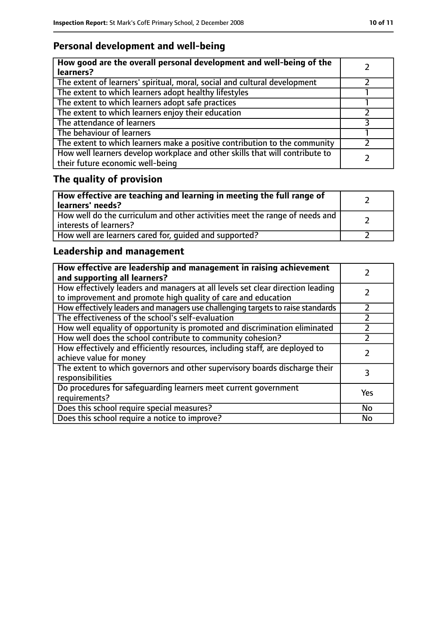## **Personal development and well-being**

| How good are the overall personal development and well-being of the<br>learners?                                 |  |
|------------------------------------------------------------------------------------------------------------------|--|
| The extent of learners' spiritual, moral, social and cultural development                                        |  |
| The extent to which learners adopt healthy lifestyles                                                            |  |
| The extent to which learners adopt safe practices                                                                |  |
| The extent to which learners enjoy their education                                                               |  |
| The attendance of learners                                                                                       |  |
| The behaviour of learners                                                                                        |  |
| The extent to which learners make a positive contribution to the community                                       |  |
| How well learners develop workplace and other skills that will contribute to<br>their future economic well-being |  |

# **The quality of provision**

| How effective are teaching and learning in meeting the full range of<br>learners' needs?              |  |
|-------------------------------------------------------------------------------------------------------|--|
| How well do the curriculum and other activities meet the range of needs and<br>interests of learners? |  |
| How well are learners cared for, quided and supported?                                                |  |

## **Leadership and management**

| How effective are leadership and management in raising achievement<br>and supporting all learners?                                              |     |
|-------------------------------------------------------------------------------------------------------------------------------------------------|-----|
| How effectively leaders and managers at all levels set clear direction leading<br>to improvement and promote high quality of care and education |     |
| How effectively leaders and managers use challenging targets to raise standards                                                                 |     |
| The effectiveness of the school's self-evaluation                                                                                               |     |
| How well equality of opportunity is promoted and discrimination eliminated                                                                      |     |
| How well does the school contribute to community cohesion?                                                                                      |     |
| How effectively and efficiently resources, including staff, are deployed to<br>achieve value for money                                          |     |
| The extent to which governors and other supervisory boards discharge their<br>responsibilities                                                  |     |
| Do procedures for safeguarding learners meet current government<br>requirements?                                                                | Yes |
| Does this school require special measures?                                                                                                      | No  |
| Does this school require a notice to improve?                                                                                                   | No  |